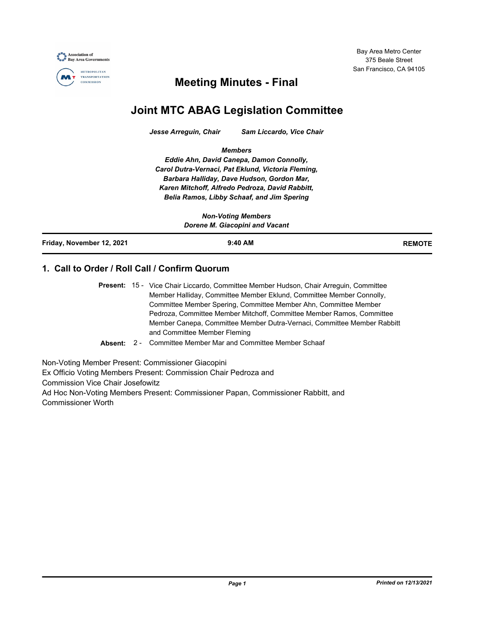Bay Area Metro Center 375 Beale Street San Francisco, CA 94105





## **Meeting Minutes - Final**

# **Joint MTC ABAG Legislation Committee**

*Jesse Arreguin, Chair Sam Liccardo, Vice Chair*

*Members*

*Eddie Ahn, David Canepa, Damon Connolly, Carol Dutra-Vernaci, Pat Eklund, Victoria Fleming, Barbara Halliday, Dave Hudson, Gordon Mar, Karen Mitchoff, Alfredo Pedroza, David Rabbitt, Belia Ramos, Libby Schaaf, and Jim Spering*

| <b>Non-Voting Members</b><br>Dorene M. Giacopini and Vacant |           |               |
|-------------------------------------------------------------|-----------|---------------|
| Friday, November 12, 2021                                   | $9:40$ AM | <b>REMOTE</b> |

### **1. Call to Order / Roll Call / Confirm Quorum**

Present: 15 - Vice Chair Liccardo, Committee Member Hudson, Chair Arreguin, Committee Member Halliday, Committee Member Eklund, Committee Member Connolly, Committee Member Spering, Committee Member Ahn, Committee Member Pedroza, Committee Member Mitchoff, Committee Member Ramos, Committee Member Canepa, Committee Member Dutra-Vernaci, Committee Member Rabbitt and Committee Member Fleming

**Absent:** 2 - Committee Member Mar and Committee Member Schaaf

Non-Voting Member Present: Commissioner Giacopini Ex Officio Voting Members Present: Commission Chair Pedroza and Commission Vice Chair Josefowitz Ad Hoc Non-Voting Members Present: Commissioner Papan, Commissioner Rabbitt, and Commissioner Worth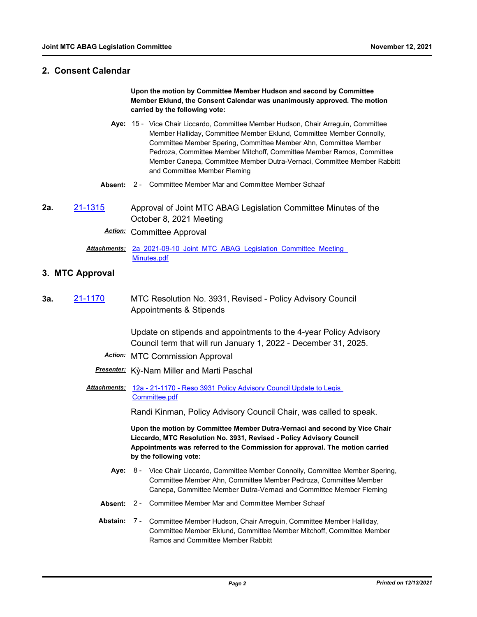#### **2. Consent Calendar**

**Upon the motion by Committee Member Hudson and second by Committee Member Eklund, the Consent Calendar was unanimously approved. The motion carried by the following vote:**

- Aye: 15 Vice Chair Liccardo, Committee Member Hudson, Chair Arreguin, Committee Member Halliday, Committee Member Eklund, Committee Member Connolly, Committee Member Spering, Committee Member Ahn, Committee Member Pedroza, Committee Member Mitchoff, Committee Member Ramos, Committee Member Canepa, Committee Member Dutra-Vernaci, Committee Member Rabbitt and Committee Member Fleming
- **Absent:** 2 Committee Member Mar and Committee Member Schaaf
- **2a.** [21-1315](http://mtc.legistar.com/gateway.aspx?m=l&id=/matter.aspx?key=22907) Approval of Joint MTC ABAG Legislation Committee Minutes of the October 8, 2021 Meeting

*Action:* Committee Approval

Attachments: 2a 2021-09-10 Joint MTC ABAG Legislation Committee Meeting Minutes.pdf

#### **3. MTC Approval**

**3a.** [21-1170](http://mtc.legistar.com/gateway.aspx?m=l&id=/matter.aspx?key=22763) MTC Resolution No. 3931, Revised - Policy Advisory Council Appointments & Stipends

> Update on stipends and appointments to the 4-year Policy Advisory Council term that will run January 1, 2022 - December 31, 2025.

- *Action:* MTC Commission Approval
- *Presenter:* Kỳ-Nam Miller and Marti Paschal
- Attachments: 12a 21-1170 Reso 3931 Policy Advisory Council Update to Legis Committee.pdf

Randi Kinman, Policy Advisory Council Chair, was called to speak.

**Upon the motion by Committee Member Dutra-Vernaci and second by Vice Chair Liccardo, MTC Resolution No. 3931, Revised - Policy Advisory Council Appointments was referred to the Commission for approval. The motion carried by the following vote:**

- Aye: 8 Vice Chair Liccardo, Committee Member Connolly, Committee Member Spering, Committee Member Ahn, Committee Member Pedroza, Committee Member Canepa, Committee Member Dutra-Vernaci and Committee Member Fleming
- **Absent:** 2 Committee Member Mar and Committee Member Schaaf
- Abstain: 7 Committee Member Hudson, Chair Arreguin, Committee Member Halliday, Committee Member Eklund, Committee Member Mitchoff, Committee Member Ramos and Committee Member Rabbitt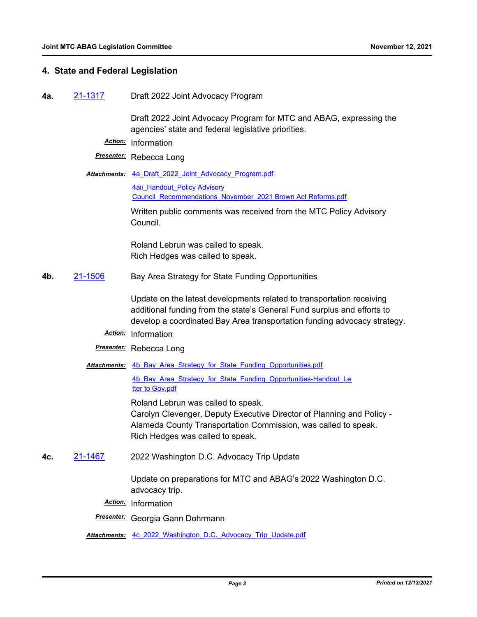#### **4. State and Federal Legislation**

**4a.** [21-1317](http://mtc.legistar.com/gateway.aspx?m=l&id=/matter.aspx?key=22910) Draft 2022 Joint Advocacy Program

Draft 2022 Joint Advocacy Program for MTC and ABAG, expressing the agencies' state and federal legislative priorities.

*Action:* Information

*Presenter:* Rebecca Long

Attachments: 4a Draft 2022 Joint Advocacy Program.pdf

4aii\_Handout\_Policy Advisory [Council\\_Recommendations\\_November\\_2021 Brown Act Reforms.pdf](http://mtc.legistar.com/gateway.aspx?M=F&ID=a61031bd-1f7d-461c-b5d7-769185fc2ff9.pdf)

Written public comments was received from the MTC Policy Advisory Council.

Roland Lebrun was called to speak. Rich Hedges was called to speak.

**4b.** [21-1506](http://mtc.legistar.com/gateway.aspx?m=l&id=/matter.aspx?key=23099) Bay Area Strategy for State Funding Opportunities

Update on the latest developments related to transportation receiving additional funding from the state's General Fund surplus and efforts to develop a coordinated Bay Area transportation funding advocacy strategy.

- *Action:* Information
- *Presenter:* Rebecca Long
- Attachments: 4b Bay Area Strategy for State Funding Opportunities.pdf

4b Bay Area Strategy for State Funding Opportunities-Handout Le tter to Gov.pdf

Roland Lebrun was called to speak. Carolyn Clevenger, Deputy Executive Director of Planning and Policy - Alameda County Transportation Commission, was called to speak. Rich Hedges was called to speak.

**4c.** [21-1467](http://mtc.legistar.com/gateway.aspx?m=l&id=/matter.aspx?key=23060) 2022 Washington D.C. Advocacy Trip Update

Update on preparations for MTC and ABAG's 2022 Washington D.C. advocacy trip.

*Action:* Information

*Presenter:* Georgia Gann Dohrmann

*Attachments:* [4c\\_2022\\_Washington\\_D.C.\\_Advocacy\\_Trip\\_Update.pdf](http://mtc.legistar.com/gateway.aspx?M=F&ID=a27e7003-3e07-403f-8d76-f899fe003870.pdf)